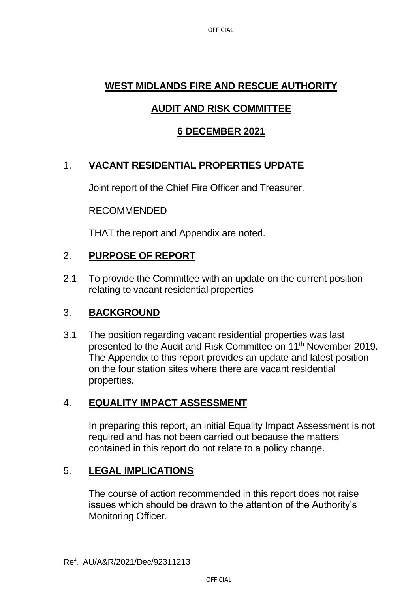## **WEST MIDLANDS FIRE AND RESCUE AUTHORITY**

## **AUDIT AND RISK COMMITTEE**

## **6 DECEMBER 2021**

## 1. **VACANT RESIDENTIAL PROPERTIES UPDATE**

Joint report of the Chief Fire Officer and Treasurer.

#### RECOMMENDED

THAT the report and Appendix are noted.

### 2. **PURPOSE OF REPORT**

2.1 To provide the Committee with an update on the current position relating to vacant residential properties

#### 3. **BACKGROUND**

3.1 The position regarding vacant residential properties was last presented to the Audit and Risk Committee on 11<sup>th</sup> November 2019. The Appendix to this report provides an update and latest position on the four station sites where there are vacant residential properties.

#### 4. **EQUALITY IMPACT ASSESSMENT**

In preparing this report, an initial Equality Impact Assessment is not required and has not been carried out because the matters contained in this report do not relate to a policy change.

#### 5. **LEGAL IMPLICATIONS**

The course of action recommended in this report does not raise issues which should be drawn to the attention of the Authority's Monitoring Officer.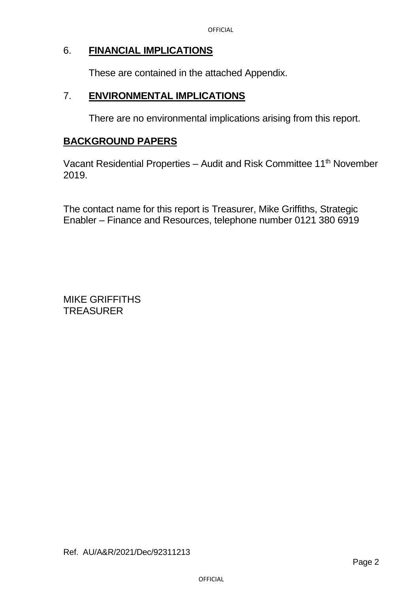#### 6. **FINANCIAL IMPLICATIONS**

These are contained in the attached Appendix.

#### 7. **ENVIRONMENTAL IMPLICATIONS**

There are no environmental implications arising from this report.

#### **BACKGROUND PAPERS**

Vacant Residential Properties – Audit and Risk Committee 11th November 2019.

The contact name for this report is Treasurer, Mike Griffiths, Strategic Enabler – Finance and Resources, telephone number 0121 380 6919

MIKE GRIFFITHS TREASURER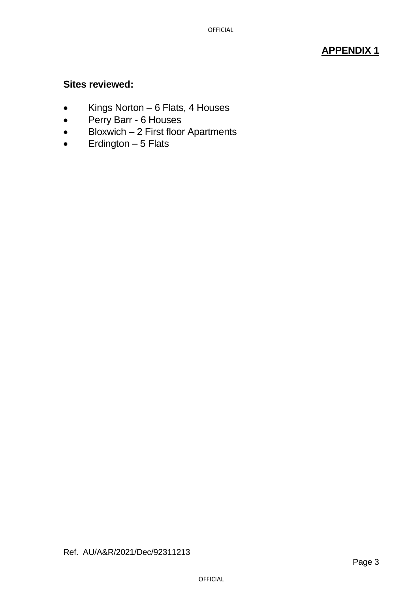## **APPENDIX 1**

#### **Sites reviewed:**

- Kings Norton 6 Flats, 4 Houses
- Perry Barr 6 Houses
- Bloxwich 2 First floor Apartments
- $\bullet$  Erdington  $-5$  Flats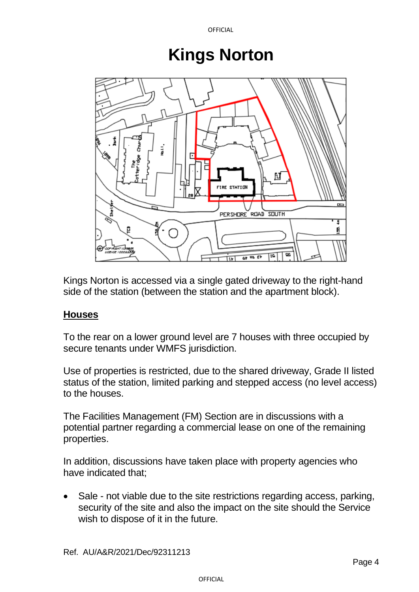# **Kings Norton**



Kings Norton is accessed via a single gated driveway to the right-hand side of the station (between the station and the apartment block).

## **Houses**

To the rear on a lower ground level are 7 houses with three occupied by secure tenants under WMFS jurisdiction.

Use of properties is restricted, due to the shared driveway, Grade II listed status of the station, limited parking and stepped access (no level access) to the houses.

The Facilities Management (FM) Section are in discussions with a potential partner regarding a commercial lease on one of the remaining properties.

In addition, discussions have taken place with property agencies who have indicated that;

Sale - not viable due to the site restrictions regarding access, parking, security of the site and also the impact on the site should the Service wish to dispose of it in the future.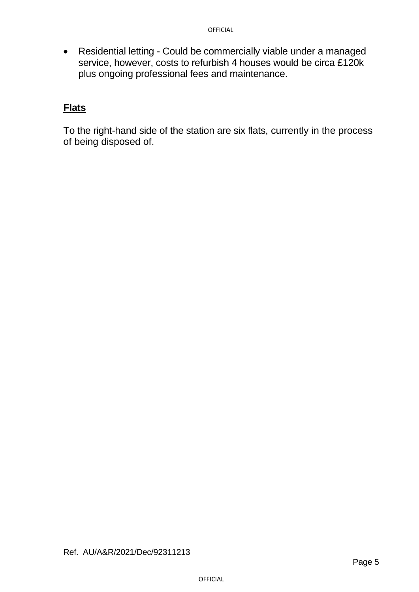• Residential letting - Could be commercially viable under a managed service, however, costs to refurbish 4 houses would be circa £120k plus ongoing professional fees and maintenance.

#### **Flats**

To the right-hand side of the station are six flats, currently in the process of being disposed of.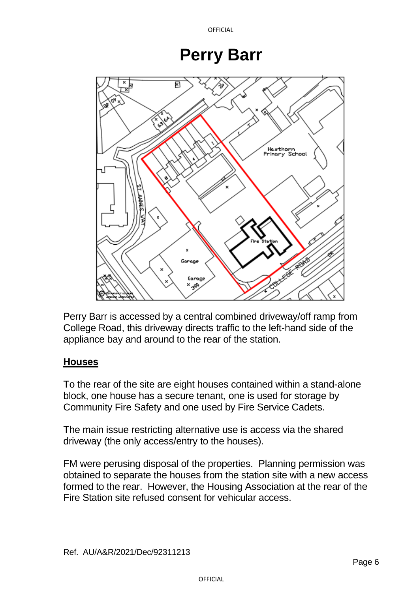## **Perry Barr**



Perry Barr is accessed by a central combined driveway/off ramp from College Road, this driveway directs traffic to the left-hand side of the appliance bay and around to the rear of the station.

### **Houses**

To the rear of the site are eight houses contained within a stand-alone block, one house has a secure tenant, one is used for storage by Community Fire Safety and one used by Fire Service Cadets.

The main issue restricting alternative use is access via the shared driveway (the only access/entry to the houses).

FM were perusing disposal of the properties. Planning permission was obtained to separate the houses from the station site with a new access formed to the rear. However, the Housing Association at the rear of the Fire Station site refused consent for vehicular access.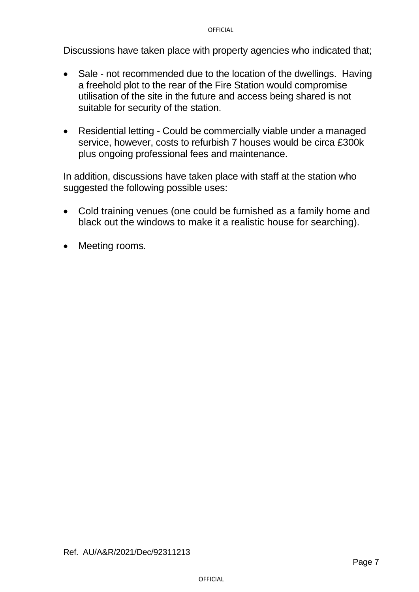Discussions have taken place with property agencies who indicated that;

- Sale not recommended due to the location of the dwellings. Having a freehold plot to the rear of the Fire Station would compromise utilisation of the site in the future and access being shared is not suitable for security of the station.
- Residential letting Could be commercially viable under a managed service, however, costs to refurbish 7 houses would be circa £300k plus ongoing professional fees and maintenance.

In addition, discussions have taken place with staff at the station who suggested the following possible uses:

- Cold training venues (one could be furnished as a family home and black out the windows to make it a realistic house for searching).
- Meeting rooms*.*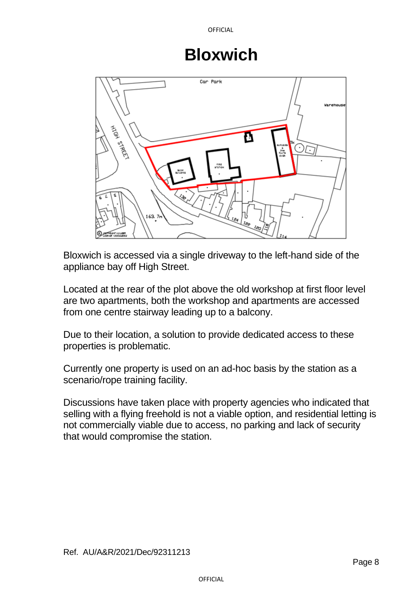## **Bloxwich**



Bloxwich is accessed via a single driveway to the left-hand side of the appliance bay off High Street.

Located at the rear of the plot above the old workshop at first floor level are two apartments, both the workshop and apartments are accessed from one centre stairway leading up to a balcony.

Due to their location, a solution to provide dedicated access to these properties is problematic.

Currently one property is used on an ad-hoc basis by the station as a scenario/rope training facility.

Discussions have taken place with property agencies who indicated that selling with a flying freehold is not a viable option, and residential letting is not commercially viable due to access, no parking and lack of security that would compromise the station.